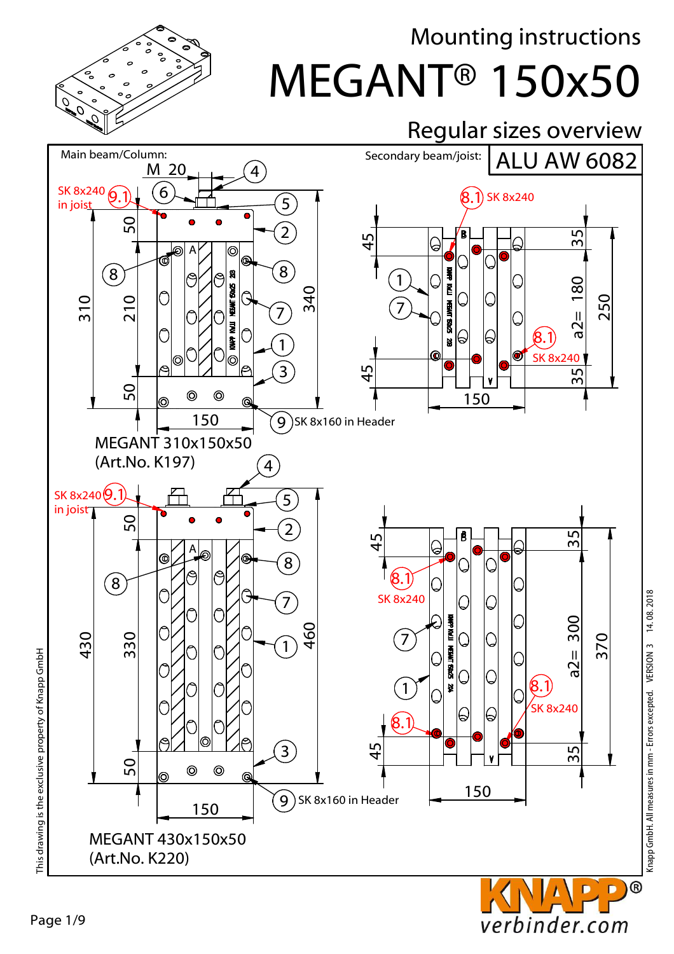

### MEGANT® 150x50 Mounting instructions



verbinder.com

Knapp GmbH. All measures in mm - Errors excepted. VERSION 3 14. 08. 2018

 $^{\circledR}$ 

This drawing is the exclusive property of Knapp GmbH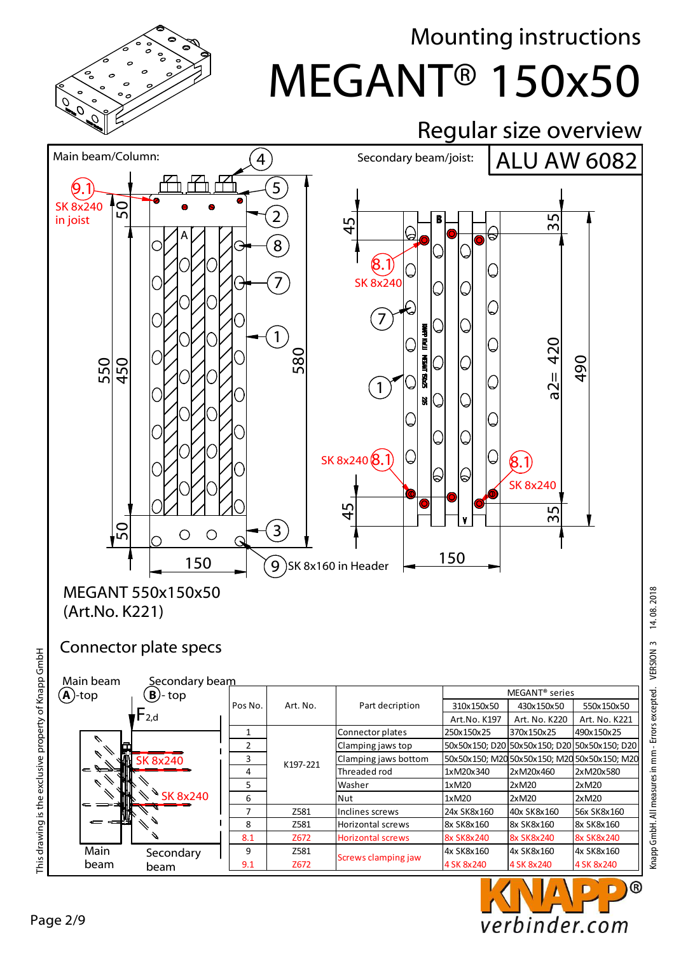

# MEGANT® 150x50 Mounting instructions



(Art.No. K221)

#### Connector plate specs

| Main beam<br>Secondary beam |                       |         |          |                            |                   |                                              |                                              |
|-----------------------------|-----------------------|---------|----------|----------------------------|-------------------|----------------------------------------------|----------------------------------------------|
| $(A)$ -top                  |                       |         |          | MEGANT <sup>®</sup> series |                   |                                              |                                              |
|                             | $\mathbf{B}$ )-top    | Pos No. | Art. No. | Part decription            | 310x150x50        | 430x150x50                                   | 550x150x50                                   |
|                             | $\mathsf{\Gamma}$ 2,d |         |          |                            | Art.No. K197      | Art. No. K220                                | Art. No. K221                                |
|                             |                       |         | K197-221 | Connector plates           | 250x150x25        | 370x150x25                                   | 490x150x25                                   |
|                             |                       | 2       |          | Clamping jaws top          |                   | 50x50x150; D20 50x50x150; D20 50x50x150; D20 |                                              |
|                             | <b>SK 8x240</b>       | 3       |          | Clamping jaws bottom       |                   |                                              | 50x50x150; M20 50x50x150; M20 50x50x150; M20 |
| $\equiv$                    |                       | 4       |          | Threaded rod               | 1xM20x340         | 2xM20x460                                    | 2xM20x580                                    |
|                             |                       | 5.      |          | Washer                     | 1xM20             | 2xM20                                        | 2xM20                                        |
|                             | <b>SK 8x240</b>       | 6       |          | Nut                        | 1xM20             | 2xM20                                        | 2xM20                                        |
| c                           |                       | 7       | Z581     | Inclines screws            | 24x SK8x160       | 40x SK8x160                                  | 56x SK8x160                                  |
|                             |                       | 8       | Z581     | <b>Horizontal screws</b>   | 8x SK8x160        | 8x SK8x160                                   | 8x SK8x160                                   |
|                             |                       | 8.1     | Z672     | <b>Horizontal screws</b>   | <b>8x SK8x240</b> | 8x SK8x240                                   | <b>8x SK8x240</b>                            |
| Main                        | Secondary             | 9       | Z581     |                            | 4x SK8x160        | 4x SK8x160                                   | 4x SK8x160                                   |
| beam                        | beam                  | 9.1     | Z672     | Screws clamping jaw        | 4 SK 8x240        | 4 SK 8x240                                   | 4 SK 8x240                                   |



This drawing is the exclusive property of Knapp GmbH

This drawing is the exclusive property of Knapp GmbH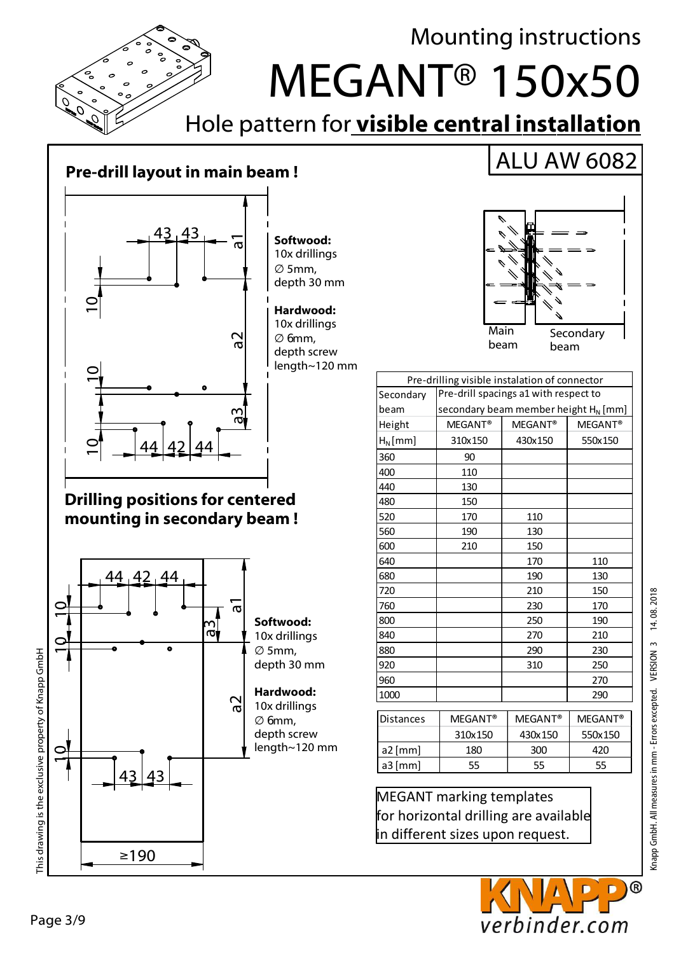

#### **Pre-drill layout in main beam !**



**Softwood:** 10x drillings ∅ 5mm, depth 30 mm

**Hardwood:** 10x drillings ∅ 6mm, depth screw length~120 mm

#### **Drilling positions for centered mounting in secondary beam !**



# Main beam **Secondary** beam

|                  | Pre-drilling visible instalation of connector |                     |                     |  |  |
|------------------|-----------------------------------------------|---------------------|---------------------|--|--|
| Secondary        | Pre-drill spacings a1 with respect to         |                     |                     |  |  |
| beam             | secondary beam member height $H_N$ [mm]       |                     |                     |  |  |
| Height           | MEGANT <sup>®</sup>                           | MEGANT <sup>®</sup> | MEGANT <sup>®</sup> |  |  |
| $H_N$ [mm]       | 310x150                                       | 430x150             | 550x150             |  |  |
| 360              | 90                                            |                     |                     |  |  |
| 400              | 110                                           |                     |                     |  |  |
| 440              | 130                                           |                     |                     |  |  |
| 480              | 150                                           |                     |                     |  |  |
| 520              | 170                                           | 110                 |                     |  |  |
| 560              | 190                                           | 130                 |                     |  |  |
| 600              | 210                                           | 150                 |                     |  |  |
| 640              |                                               | 170                 | 110                 |  |  |
| 680              |                                               | 190                 | 130                 |  |  |
| 720              |                                               | 210                 | 150                 |  |  |
| 760              |                                               | 230                 | 170                 |  |  |
| 800              |                                               | 250                 | 190                 |  |  |
| 840              |                                               | 270                 | 210                 |  |  |
| 880              |                                               | 290                 | 230                 |  |  |
| 920              |                                               | 310                 | 250                 |  |  |
| 960              |                                               |                     | 270                 |  |  |
| 1000             |                                               |                     | 290                 |  |  |
| <b>Distances</b> | MEGANT <sup>®</sup>                           | MEGANT <sup>®</sup> | MEGANT <sup>®</sup> |  |  |
|                  | 310x150                                       | 430x150             | 550x150             |  |  |
| a2 [mm]          | 180                                           | 300                 | 420                 |  |  |
| a3 [mm]          | 55                                            |                     | 55                  |  |  |

MEGANT marking templates for horizontal drilling are available in different sizes upon request.

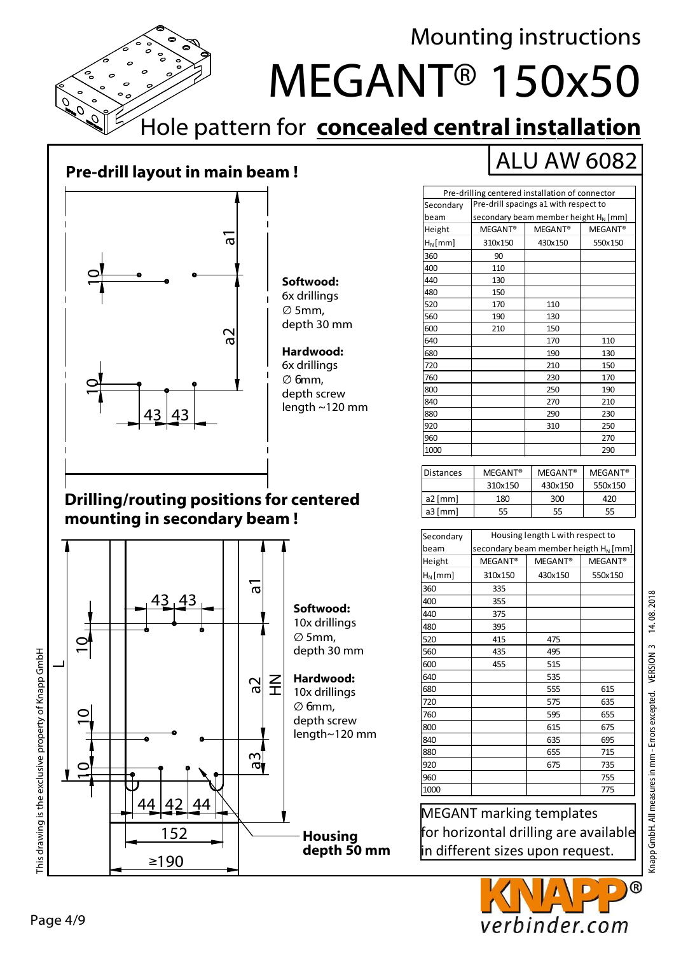

### **Pre-drill layout in main beam !**



**Softwood:** 6x drillings ∅ 5mm, depth 30 mm

**Hardwood:** 6x drillings ∅ 6mm, depth screw length ~120 mm

#### **Drilling/routing positions for centered mounting in secondary beam !**



|--|

| Pre-drilling centered installation of connector |                                                              |         |         |  |
|-------------------------------------------------|--------------------------------------------------------------|---------|---------|--|
| Secondary                                       | Pre-drill spacings a1 with respect to                        |         |         |  |
| beam                                            | secondary beam member height $H_N$ [mm]                      |         |         |  |
| Height                                          | MEGANT <sup>®</sup><br>MEGANT <sup>®</sup><br><b>MEGANT®</b> |         |         |  |
| $H_N$ [mm]                                      | 310x150                                                      | 430x150 | 550x150 |  |
| 360                                             | 90                                                           |         |         |  |
| 400                                             | 110                                                          |         |         |  |
| 440                                             | 130                                                          |         |         |  |
| 480                                             | 150                                                          |         |         |  |
| 520                                             | 170                                                          | 110     |         |  |
| 560                                             | 190                                                          | 130     |         |  |
| 600                                             | 210                                                          | 150     |         |  |
| 640                                             |                                                              | 170     | 110     |  |
| 680                                             |                                                              | 190     | 130     |  |
| 720                                             |                                                              | 210     | 150     |  |
| 760                                             |                                                              | 230     | 170     |  |
| 800                                             |                                                              | 250     | 190     |  |
| 840                                             |                                                              | 270     | 210     |  |
| 880                                             |                                                              | 290     | 230     |  |
| 920                                             |                                                              | 310     | 250     |  |
| 960                                             |                                                              |         | 270     |  |
| 1000                                            |                                                              |         | 290     |  |

| Distances | <b>MEGANT®</b> | <b>MEGANT®</b> | <b>MEGANT®</b> |  |
|-----------|----------------|----------------|----------------|--|
|           | 310x150        | 430x150        | 550x150        |  |
| a2 $[mm]$ | 180            | 300            | 420            |  |
| $a3$ [mm] | 55             | 55             | 55             |  |

| Secondary  | Housing length L with respect to        |                     |                     |  |  |
|------------|-----------------------------------------|---------------------|---------------------|--|--|
| beam       | secondary beam member heigth $H_N$ [mm] |                     |                     |  |  |
| Height     | MEGANT <sup>®</sup>                     | MEGANT <sup>®</sup> | MEGANT <sup>®</sup> |  |  |
| $H_N$ [mm] | 310x150                                 | 430x150             | 550x150             |  |  |
| 360        | 335                                     |                     |                     |  |  |
| 400        | 355                                     |                     |                     |  |  |
| 440        | 375                                     |                     |                     |  |  |
| 480        | 395                                     |                     |                     |  |  |
| 520        | 415                                     | 475                 |                     |  |  |
| 560        | 435                                     | 495                 |                     |  |  |
| 600        | 455                                     | 515                 |                     |  |  |
| 640        |                                         | 535                 |                     |  |  |
| 680        |                                         | 555                 | 615                 |  |  |
| 720        |                                         | 575                 | 635                 |  |  |
| 760        |                                         | 595                 | 655                 |  |  |
| 800        |                                         | 615                 | 675                 |  |  |
| 840        |                                         | 635                 | 695                 |  |  |
| 880        |                                         | 655                 | 715                 |  |  |
| 920        |                                         | 675                 | 735                 |  |  |
| 960        |                                         |                     | 755                 |  |  |
| 1000       |                                         |                     | 775                 |  |  |
|            |                                         |                     |                     |  |  |

MEGANT marking templates for horizontal drilling are available in different sizes upon request.

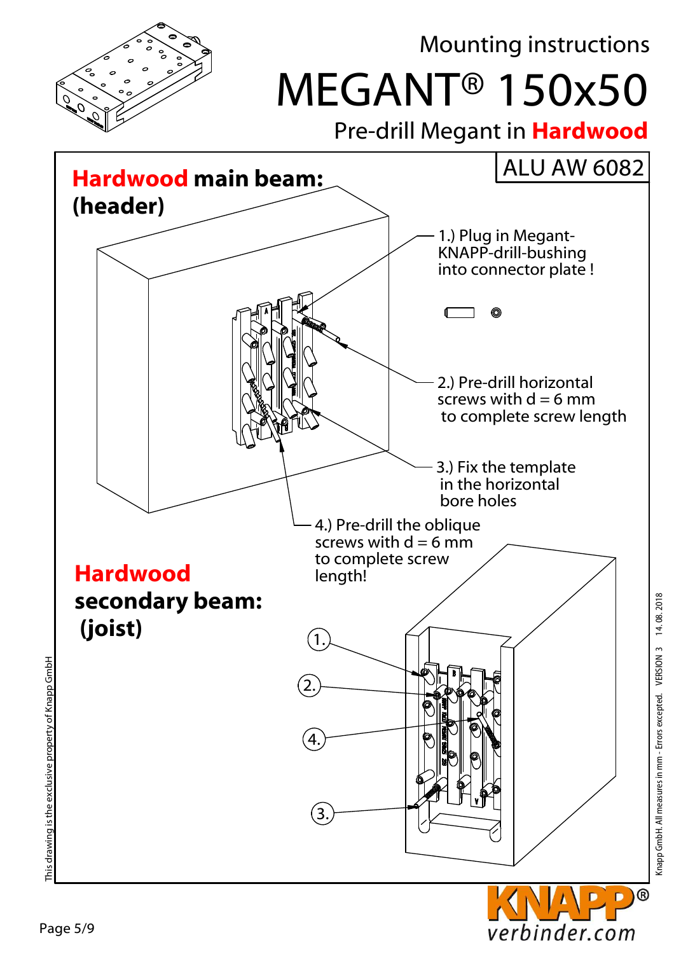

verbinder.com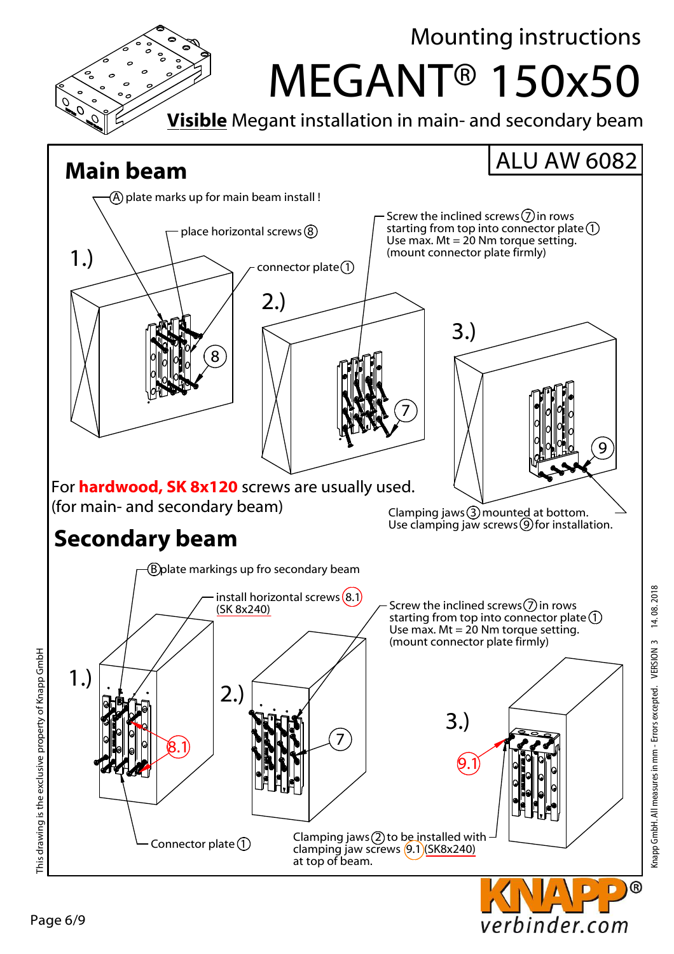

verbinder.com

Page 6/9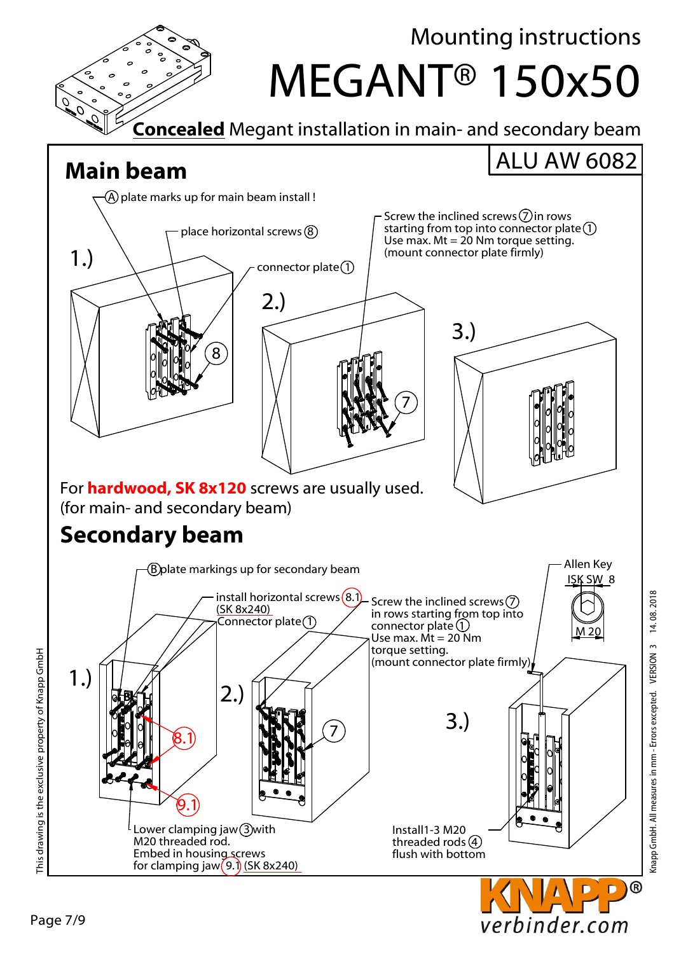

Knapp GmbH. All measures in mm - Errors excepted. VERSION 3 14. 08. 2018

verbinder.com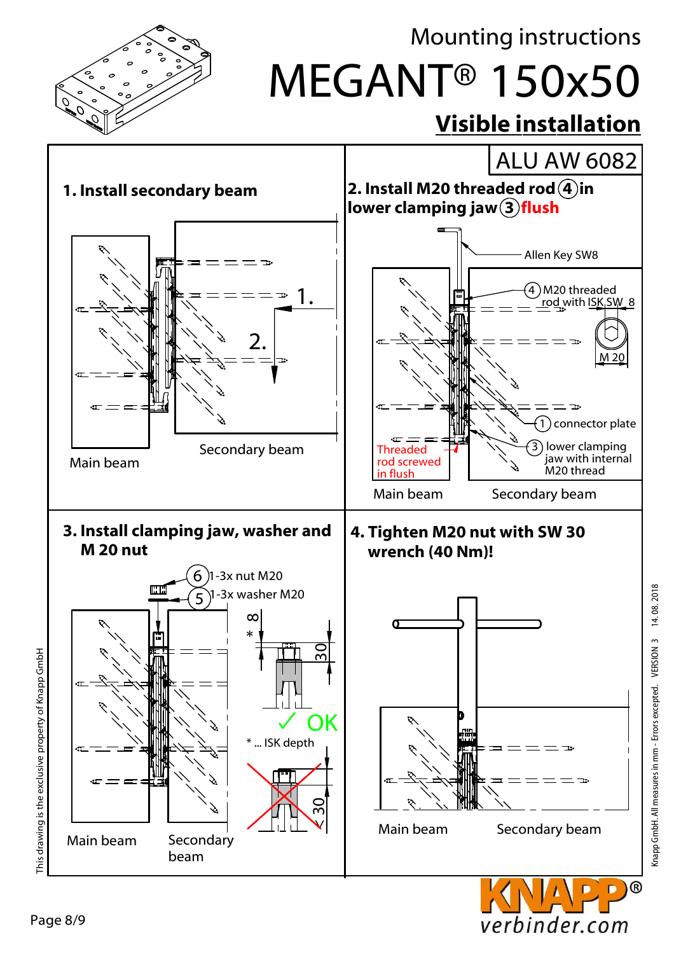

Knapp GmbH. All measures in mm - Errors excepted. VERSION 3 14. 08. 2018

Knapp GmbH. All measures in mm - Errors excepted. VERSION 3

verbinder.com

14.08.2018

This drawing is the exclusive property of Knapp GmbH This drawing is the exclusive property of Knapp GmbH

Page 8/9